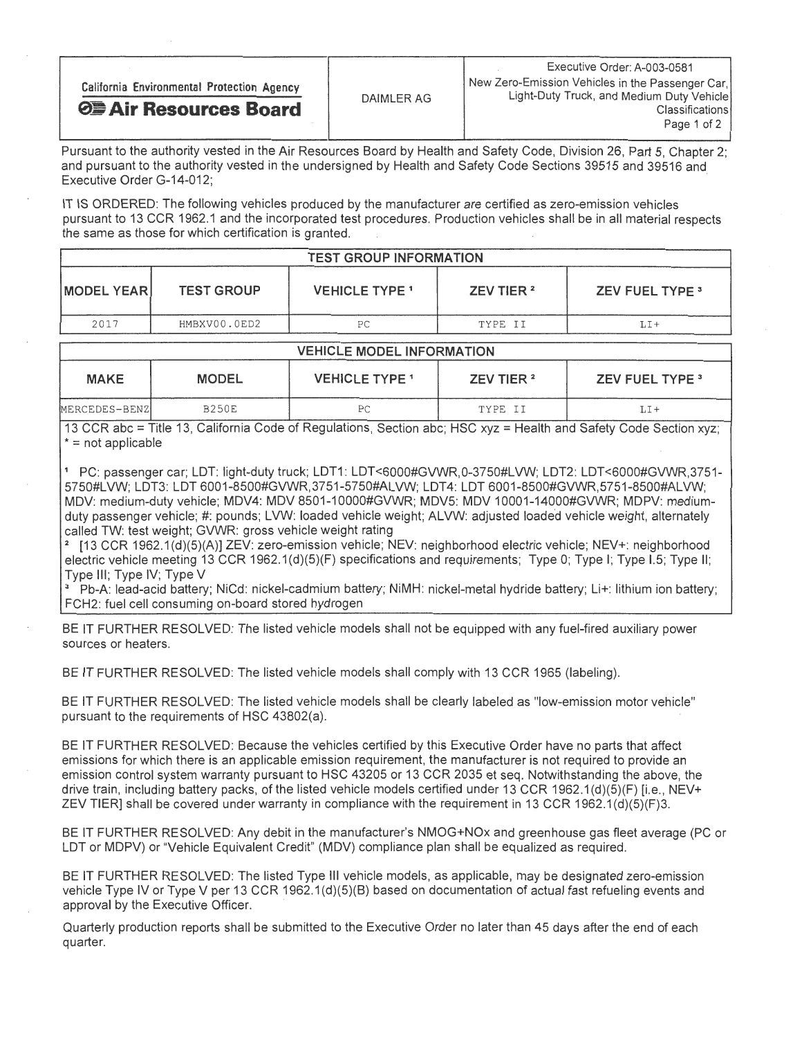| California Environmental Protection Agency |            | Executive Order: A-003-0581<br>New Zero-Emission Vehicles in the Passenger Car,<br>Light-Duty Truck, and Medium Duty Vehicle |
|--------------------------------------------|------------|------------------------------------------------------------------------------------------------------------------------------|
| <b>OF Air Resources Board</b>              | DAIMLER AG | <b>Classifications</b><br>Page 1 of 2                                                                                        |

Pursuant to the authority vested in the Air Resources Board by Health and Safety Code, Division 26, Part 5, Chapter 2; and pursuant to the authority vested in the undersigned by Health and Safety Code Sections 39515 and 39516 and Executive Order G-14-012;

IT IS ORDERED: The following vehicles produced by the manufacturer are certified as zero-emission vehicles pursuant to 13 CCR 1962.1 and the incorporated test procedures. Production vehicles shall be in all material respects the same as those for which certification is granted.

|                   |                   | <b>TEST GROUP INFORMATION</b> |                       |                        |
|-------------------|-------------------|-------------------------------|-----------------------|------------------------|
| <b>MODEL YEAR</b> | <b>TEST GROUP</b> | <b>VEHICLE TYPE 1</b>         | ZEV TIER <sup>2</sup> | <b>ZEV FUEL TYPE 3</b> |
| 2017              | HMBXV00.0ED2      | РC                            | TYPE II               | LI+                    |
|                   |                   |                               |                       |                        |

|               | <b>VEHICLE MODEL INFORMATION</b> |                       |                       |                        |
|---------------|----------------------------------|-----------------------|-----------------------|------------------------|
| <b>MAKE</b>   | <b>MODEL</b>                     | <b>VEHICLE TYPE 1</b> | ZEV TIER <sup>2</sup> | <b>ZEV FUEL TYPE 3</b> |
| MERCEDES-BENZ | <b>B250E</b>                     | РC                    | TYPE II               | LI+                    |

13 CCR abc = Title 13, California Code of Regulations, Section abc; HSC xyz = Health and Safety Code Section xyz;  $* = not applicable$ 

1 PC: passenger car; LDT: light-duty truck; LDT1: LDT<6000#GVWR, 0-3750#LVW; LDT2: LDT<6000#GVWR,3751- 5750#LVW; LDT3: LDT 6001-8500#GVWR,3751-5750#ALVW; LDT4: LDT 6001-8500#GVWR,5751-8500#ALVW; MDV: medium-duty vehicle; MDV4: MDV 8501-10000#GVWR; MDV5: MDV 10001-14000#GVWR; MDPV: mediumduty passenger vehicle; #: pounds; LVW: loaded vehicle weight; ALVW: adjusted loaded vehicle weight, alternately called TW: test weight; GVWR: gross vehicle weight rating

[13 CCR 1962.1(d)(5)(A)] ZEV: zero-emission vehicle; NEV: neighborhood electric vehicle; NEV+: neighborhood electric vehicle meeting 13 CCR 1962.1(d)(5)(F) specifications and requirements; Type 0; Type I; Type I.5; Type II; Type Ill; Type IV; Type V

3 Pb-A: lead-acid battery; NiCd: nickel-cadmium battery; NIMH: nickel-metal hydride battery; Li+: lithium ion battery; FCH2: fuel cell consuming on-board stored hydrogen

BE IT FURTHER RESOLVED: The listed vehicle models shall not be equipped with any fuel-fired auxiliary power sources or heaters.

BE IT FURTHER RESOLVED: The listed vehicle models shall comply with 13 CCR 1965 (labeling).

BE IT FURTHER RESOLVED: The listed vehicle models shall be clearly labeled as "low-emission motor vehicle" pursuant to the requirements of HSC 43802(a).

BE IT FURTHER RESOLVED: Because the vehicles certified by this Executive Order have no parts that affect emissions for which there is an applicable emission requirement, the manufacturer is not required to provide an emission control system warranty pursuant to HSC 43205 or 13 CCR 2035 et seq. Notwithstanding the above, the drive train, including battery packs, of the listed vehicle models certified under 13 CCR 1962.1(d)(5)(F) [i.e., drive train, including battery packs, of the listed vehicle models certified under 13 CCR 1962.1(d)(5)(F)  $\alpha$ . NEV+ ZEV TIER] shall be covered under warranty in compliance with the requirement in 13 CCR 1962.1(d)(5) (F)3.

BE IT FURTHER RESOLVED: Any debit in the manufacturer's NMOG+NOx and greenhouse gas fleet average (PC or LDT or MDPV) or "Vehicle Equivalent Credit" (MDV) compliance plan shall be equalized as required.

BE IT FURTHER RESOLVED: The listed Type Ill vehicle models, as applicable, may be designated zero-emission vehicle Type IV or Type V per 13 CCR 1962. 1(d)(5)(B) based on documentation of actual fast refueling events and approval by the Executive Officer.

Quarterly production reports shall be submitted to the Executive Order no later than 45 days after the end of each quarter.